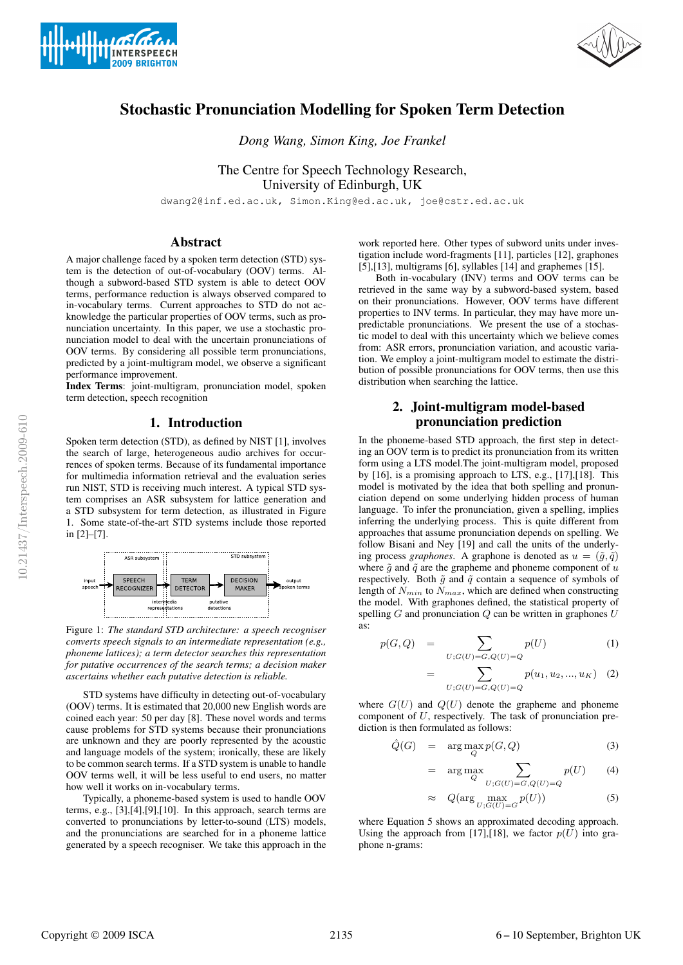



# Stochastic Pronunciation Modelling for Spoken Term Detection

*Dong Wang, Simon King, Joe Frankel*

The Centre for Speech Technology Research, University of Edinburgh, UK

dwang2@inf.ed.ac.uk, Simon.King@ed.ac.uk, joe@cstr.ed.ac.uk

## Abstract

A major challenge faced by a spoken term detection (STD) system is the detection of out-of-vocabulary (OOV) terms. Although a subword-based STD system is able to detect OOV terms, performance reduction is always observed compared to in-vocabulary terms. Current approaches to STD do not acknowledge the particular properties of OOV terms, such as pronunciation uncertainty. In this paper, we use a stochastic pronunciation model to deal with the uncertain pronunciations of OOV terms. By considering all possible term pronunciations, predicted by a joint-multigram model, we observe a significant performance improvement.

Index Terms: joint-multigram, pronunciation model, spoken term detection, speech recognition

## 1. Introduction

Spoken term detection (STD), as defined by NIST [1], involves the search of large, heterogeneous audio archives for occurrences of spoken terms. Because of its fundamental importance for multimedia information retrieval and the evaluation series run NIST, STD is receiving much interest. A typical STD system comprises an ASR subsystem for lattice generation and a STD subsystem for term detection, as illustrated in Figure 1. Some state-of-the-art STD systems include those reported in [2]–[7].



Figure 1: *The standard STD architecture: a speech recogniser converts speech signals to an intermediate representation (e.g., phoneme lattices); a term detector searches this representation for putative occurrences of the search terms; a decision maker ascertains whether each putative detection is reliable.*

STD systems have difficulty in detecting out-of-vocabulary (OOV) terms. It is estimated that 20,000 new English words are coined each year: 50 per day [8]. These novel words and terms cause problems for STD systems because their pronunciations are unknown and they are poorly represented by the acoustic and language models of the system; ironically, these are likely to be common search terms. If a STD system is unable to handle OOV terms well, it will be less useful to end users, no matter how well it works on in-vocabulary terms.

Typically, a phoneme-based system is used to handle OOV terms, e.g., [3],[4],[9],[10]. In this approach, search terms are converted to pronunciations by letter-to-sound (LTS) models, and the pronunciations are searched for in a phoneme lattice generated by a speech recogniser. We take this approach in the

work reported here. Other types of subword units under investigation include word-fragments [11], particles [12], graphones [5],[13], multigrams [6], syllables [14] and graphemes [15].

Both in-vocabulary (INV) terms and OOV terms can be retrieved in the same way by a subword-based system, based on their pronunciations. However, OOV terms have different properties to INV terms. In particular, they may have more unpredictable pronunciations. We present the use of a stochastic model to deal with this uncertainty which we believe comes from: ASR errors, pronunciation variation, and acoustic variation. We employ a joint-multigram model to estimate the distribution of possible pronunciations for OOV terms, then use this distribution when searching the lattice.

# 2. Joint-multigram model-based pronunciation prediction

In the phoneme-based STD approach, the first step in detecting an OOV term is to predict its pronunciation from its written form using a LTS model.The joint-multigram model, proposed by [16], is a promising approach to LTS, e.g., [17],[18]. This model is motivated by the idea that both spelling and pronunciation depend on some underlying hidden process of human language. To infer the pronunciation, given a spelling, implies inferring the underlying process. This is quite different from approaches that assume pronunciation depends on spelling. We follow Bisani and Ney [19] and call the units of the underlying process *graphones*. A graphone is denoted as  $u = (\tilde{q}, \tilde{q})$ where  $\tilde{g}$  and  $\tilde{q}$  are the grapheme and phoneme component of u respectively. Both  $\tilde{g}$  and  $\tilde{q}$  contain a sequence of symbols of length of  $N_{min}$  to  $N_{max}$ , which are defined when constructing the model. With graphones defined, the statistical property of spelling  $G$  and pronunciation  $Q$  can be written in graphones  $U$ as:

$$
p(G, Q) = \sum_{U; G(U) = G, Q(U) = Q} p(U)
$$
 (1)

$$
= \sum_{U;G(U)=G,Q(U)=Q} p(u_1, u_2, ..., u_K) \quad (2)
$$

where  $G(U)$  and  $Q(U)$  denote the grapheme and phoneme component of U, respectively. The task of pronunciation prediction is then formulated as follows:

$$
\hat{Q}(G) = \arg \max_{Q} p(G, Q) \tag{3}
$$

$$
= \arg \max_{Q} \sum_{U; G(U) = G, Q(U) = Q} p(U) \tag{4}
$$

$$
\approx \quad Q(\arg\max_{U;G(U)=G} p(U))\tag{5}
$$

where Equation 5 shows an approximated decoding approach. Using the approach from [17],[18], we factor  $p(U)$  into graphone n-grams: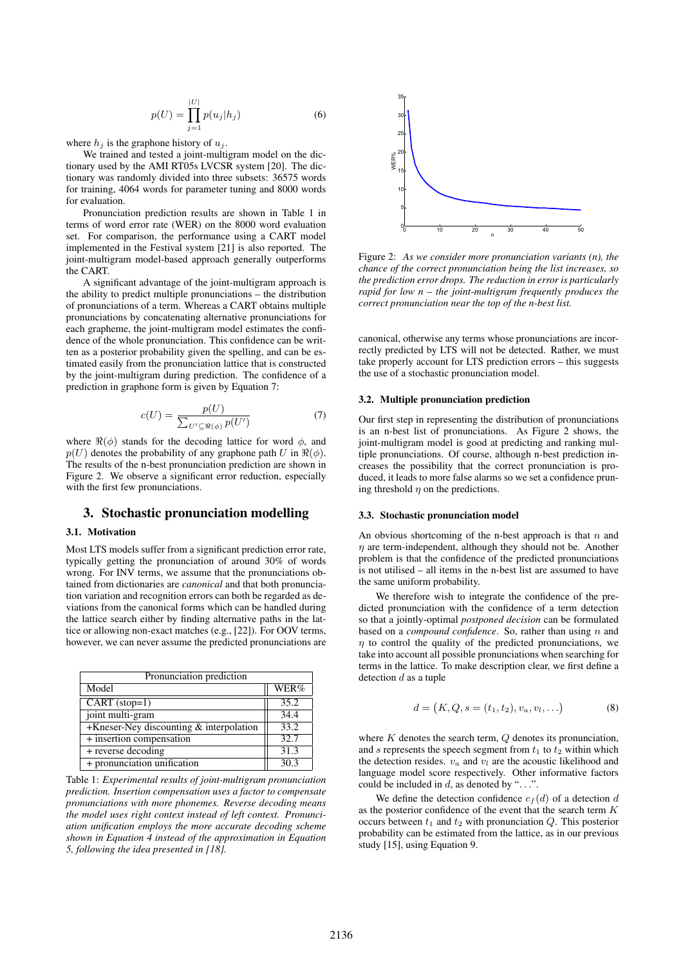$$
p(U) = \prod_{j=1}^{|U|} p(u_j|h_j)
$$
 (6)

where  $h_j$  is the graphone history of  $u_j$ .

We trained and tested a joint-multigram model on the dictionary used by the AMI RT05s LVCSR system [20]. The dictionary was randomly divided into three subsets: 36575 words for training, 4064 words for parameter tuning and 8000 words for evaluation.

Pronunciation prediction results are shown in Table 1 in terms of word error rate (WER) on the 8000 word evaluation set. For comparison, the performance using a CART model implemented in the Festival system [21] is also reported. The joint-multigram model-based approach generally outperforms the CART.

A significant advantage of the joint-multigram approach is the ability to predict multiple pronunciations – the distribution of pronunciations of a term. Whereas a CART obtains multiple pronunciations by concatenating alternative pronunciations for each grapheme, the joint-multigram model estimates the confidence of the whole pronunciation. This confidence can be written as a posterior probability given the spelling, and can be estimated easily from the pronunciation lattice that is constructed by the joint-multigram during prediction. The confidence of a prediction in graphone form is given by Equation 7:

$$
c(U) = \frac{p(U)}{\sum_{U' \subseteq \Re(\phi)} p(U')}
$$
 (7)

where  $\Re(\phi)$  stands for the decoding lattice for word  $\phi$ , and  $p(U)$  denotes the probability of any graphone path U in  $\Re(\phi)$ . The results of the n-best pronunciation prediction are shown in Figure 2. We observe a significant error reduction, especially with the first few pronunciations.

## 3. Stochastic pronunciation modelling

### 3.1. Motivation

Most LTS models suffer from a significant prediction error rate, typically getting the pronunciation of around 30% of words wrong. For INV terms, we assume that the pronunciations obtained from dictionaries are *canonical* and that both pronunciation variation and recognition errors can both be regarded as deviations from the canonical forms which can be handled during the lattice search either by finding alternative paths in the lattice or allowing non-exact matches (e.g., [22]). For OOV terms, however, we can never assume the predicted pronunciations are

| Pronunciation prediction                      |      |  |  |  |  |  |
|-----------------------------------------------|------|--|--|--|--|--|
| Model                                         | WER% |  |  |  |  |  |
| $CART$ (stop=1)                               | 35.2 |  |  |  |  |  |
| joint multi-gram                              | 34.4 |  |  |  |  |  |
| $+$ Kneser-Ney discounting $\&$ interpolation | 33.2 |  |  |  |  |  |
| $+$ insertion compensation                    | 32.7 |  |  |  |  |  |
| + reverse decoding                            | 31.3 |  |  |  |  |  |
| + pronunciation unification                   | 30.3 |  |  |  |  |  |

Table 1: *Experimental results of joint-multigram pronunciation prediction. Insertion compensation uses a factor to compensate pronunciations with more phonemes. Reverse decoding means the model uses right context instead of left context. Pronunciation unification employs the more accurate decoding scheme shown in Equation 4 instead of the approximation in Equation 5, following the idea presented in [18].*



Figure 2: *As we consider more pronunciation variants (n), the chance of the correct pronunciation being the list increases, so the prediction error drops. The reduction in error is particularly rapid for low n – the joint-multigram frequently produces the correct pronunciation near the top of the n-best list.*

canonical, otherwise any terms whose pronunciations are incorrectly predicted by LTS will not be detected. Rather, we must take properly account for LTS prediction errors – this suggests the use of a stochastic pronunciation model.

#### 3.2. Multiple pronunciation prediction

Our first step in representing the distribution of pronunciations is an n-best list of pronunciations. As Figure 2 shows, the joint-multigram model is good at predicting and ranking multiple pronunciations. Of course, although n-best prediction increases the possibility that the correct pronunciation is produced, it leads to more false alarms so we set a confidence pruning threshold  $\eta$  on the predictions.

#### 3.3. Stochastic pronunciation model

An obvious shortcoming of the n-best approach is that  $n$  and  $\eta$  are term-independent, although they should not be. Another problem is that the confidence of the predicted pronunciations is not utilised – all items in the n-best list are assumed to have the same uniform probability.

We therefore wish to integrate the confidence of the predicted pronunciation with the confidence of a term detection so that a jointly-optimal *postponed decision* can be formulated based on a *compound confidence*. So, rather than using n and  $\eta$  to control the quality of the predicted pronunciations, we take into account all possible pronunciations when searching for terms in the lattice. To make description clear, we first define a detection  $d$  as a tuple

$$
d = (K, Q, s = (t_1, t_2), v_a, v_l, \ldots)
$$
 (8)

where  $K$  denotes the search term,  $Q$  denotes its pronunciation, and s represents the speech segment from  $t_1$  to  $t_2$  within which the detection resides.  $v_a$  and  $v_l$  are the acoustic likelihood and language model score respectively. Other informative factors could be included in  $d$ , as denoted by "...".

We define the detection confidence  $c_f(d)$  of a detection d as the posterior confidence of the event that the search term  $K$ occurs between  $t_1$  and  $t_2$  with pronunciation Q. This posterior probability can be estimated from the lattice, as in our previous study [15], using Equation 9.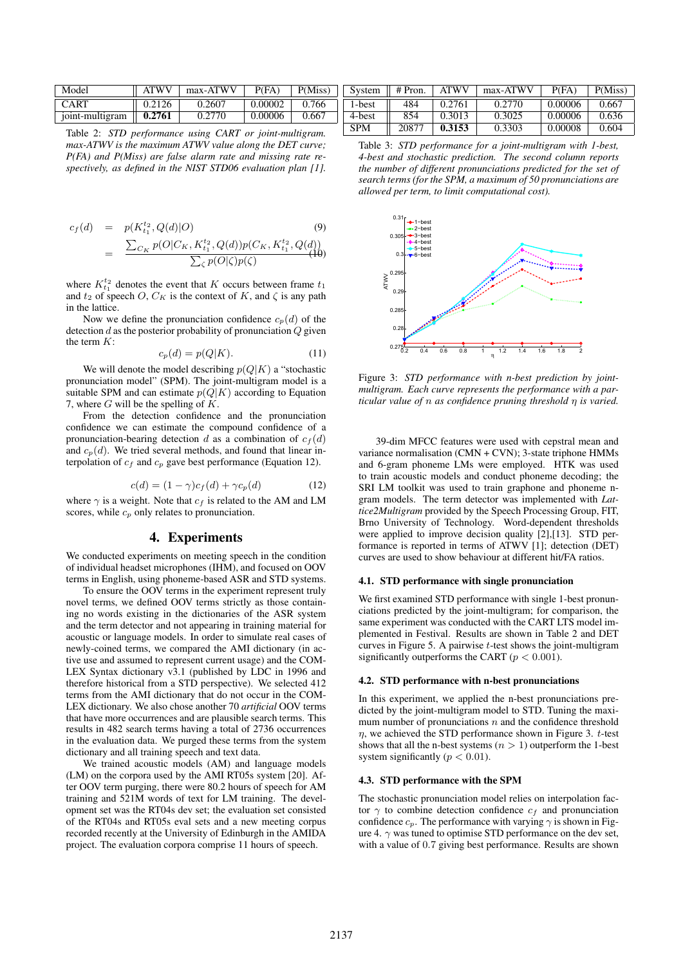| Model           | <b>ATWV</b> | <b>TWV</b><br>max-<br>7 – A I | $P$ (FA) | P(Miss) | System | $P_{\rm ron.}$ | <b>ATWV</b>  | max-ATWV | $P$ $FA$ | P(Miss |
|-----------------|-------------|-------------------------------|----------|---------|--------|----------------|--------------|----------|----------|--------|
| CART            | 126         | J.2607                        | 0.00002  | 0.766   | -best  | 484            | .2761<br>V.Z | 2770     | 0.00006  | 0.667  |
| 101nt-multigram | 2761<br>0.2 | <sup>2770</sup><br>0.Z I      | 00006.ر  | 0.667   | 4-best | 854            | 0.3013       | 0.3025   | 0.00006  | 0.636  |

Table 2: *STD performance using CART or joint-multigram. max-ATWV is the maximum ATWV value along the DET curve; P(FA) and P(Miss) are false alarm rate and missing rate respectively, as defined in the NIST STD06 evaluation plan [1].*

$$
c_f(d) = p(K_{t_1}^{t_2}, Q(d)|O)
$$
(9)  
= 
$$
\frac{\sum_{C_K} p(O|C_K, K_{t_1}^{t_2}, Q(d))p(C_K, K_{t_1}^{t_2}, Q(d))}{\sum_{\zeta} p(O|\zeta)p(\zeta)}
$$
(40)

where  $K_{t_1}^{t_2}$  denotes the event that K occurs between frame  $t_1$ and  $t_2$  of speech O,  $C_K$  is the context of K, and  $\zeta$  is any path in the lattice.

Now we define the pronunciation confidence  $c_p(d)$  of the detection  $d$  as the posterior probability of pronunciation  $Q$  given the term  $K$ :

$$
c_p(d) = p(Q|K). \tag{11}
$$

We will denote the model describing  $p(Q|K)$  a "stochastic pronunciation model" (SPM). The joint-multigram model is a suitable SPM and can estimate  $p(Q|K)$  according to Equation 7, where  $G$  will be the spelling of  $K$ .

From the detection confidence and the pronunciation confidence we can estimate the compound confidence of a pronunciation-bearing detection d as a combination of  $c_f(d)$ and  $c_p(d)$ . We tried several methods, and found that linear interpolation of  $c_f$  and  $c_p$  gave best performance (Equation 12).

$$
c(d) = (1 - \gamma)c_f(d) + \gamma c_p(d)
$$
 (12)

where  $\gamma$  is a weight. Note that  $c_f$  is related to the AM and LM scores, while  $c_p$  only relates to pronunciation.

## 4. Experiments

We conducted experiments on meeting speech in the condition of individual headset microphones (IHM), and focused on OOV terms in English, using phoneme-based ASR and STD systems.

To ensure the OOV terms in the experiment represent truly novel terms, we defined OOV terms strictly as those containing no words existing in the dictionaries of the ASR system and the term detector and not appearing in training material for acoustic or language models. In order to simulate real cases of newly-coined terms, we compared the AMI dictionary (in active use and assumed to represent current usage) and the COM-LEX Syntax dictionary v3.1 (published by LDC in 1996 and therefore historical from a STD perspective). We selected 412 terms from the AMI dictionary that do not occur in the COM-LEX dictionary. We also chose another 70 *artificial* OOV terms that have more occurrences and are plausible search terms. This results in 482 search terms having a total of 2736 occurrences in the evaluation data. We purged these terms from the system dictionary and all training speech and text data.

We trained acoustic models (AM) and language models (LM) on the corpora used by the AMI RT05s system [20]. After OOV term purging, there were 80.2 hours of speech for AM training and 521M words of text for LM training. The development set was the RT04s dev set; the evaluation set consisted of the RT04s and RT05s eval sets and a new meeting corpus recorded recently at the University of Edinburgh in the AMIDA project. The evaluation corpora comprise 11 hours of speech.

SPM 20877 0.3153 0.3303 0.00008 0.604 Table 3: *STD performance for a joint-multigram with 1-best, 4-best and stochastic prediction. The second column reports the number of different pronunciations predicted for the set of search terms (for the SPM, a maximum of 50 pronunciations are*

*allowed per term, to limit computational cost).*

 $P(FA)$  |  $P(Miss)$ 



Figure 3: *STD performance with n-best prediction by jointmultigram. Each curve represents the performance with a particular value of* n *as confidence pruning threshold* η *is varied.*

39-dim MFCC features were used with cepstral mean and variance normalisation (CMN + CVN); 3-state triphone HMMs and 6-gram phoneme LMs were employed. HTK was used to train acoustic models and conduct phoneme decoding; the SRI LM toolkit was used to train graphone and phoneme ngram models. The term detector was implemented with *Lattice2Multigram* provided by the Speech Processing Group, FIT, Brno University of Technology. Word-dependent thresholds were applied to improve decision quality [2],[13]. STD performance is reported in terms of ATWV [1]; detection (DET) curves are used to show behaviour at different hit/FA ratios.

#### 4.1. STD performance with single pronunciation

We first examined STD performance with single 1-best pronunciations predicted by the joint-multigram; for comparison, the same experiment was conducted with the CART LTS model implemented in Festival. Results are shown in Table 2 and DET curves in Figure 5. A pairwise  $t$ -test shows the joint-multigram significantly outperforms the CART ( $p < 0.001$ ).

#### 4.2. STD performance with n-best pronunciations

In this experiment, we applied the n-best pronunciations predicted by the joint-multigram model to STD. Tuning the maximum number of pronunciations  $n$  and the confidence threshold  $\eta$ , we achieved the STD performance shown in Figure 3. t-test shows that all the n-best systems ( $n > 1$ ) outperform the 1-best system significantly ( $p < 0.01$ ).

#### 4.3. STD performance with the SPM

The stochastic pronunciation model relies on interpolation factor  $\gamma$  to combine detection confidence  $c_f$  and pronunciation confidence  $c_p$ . The performance with varying  $\gamma$  is shown in Figure 4.  $\gamma$  was tuned to optimise STD performance on the dev set, with a value of 0.7 giving best performance. Results are shown